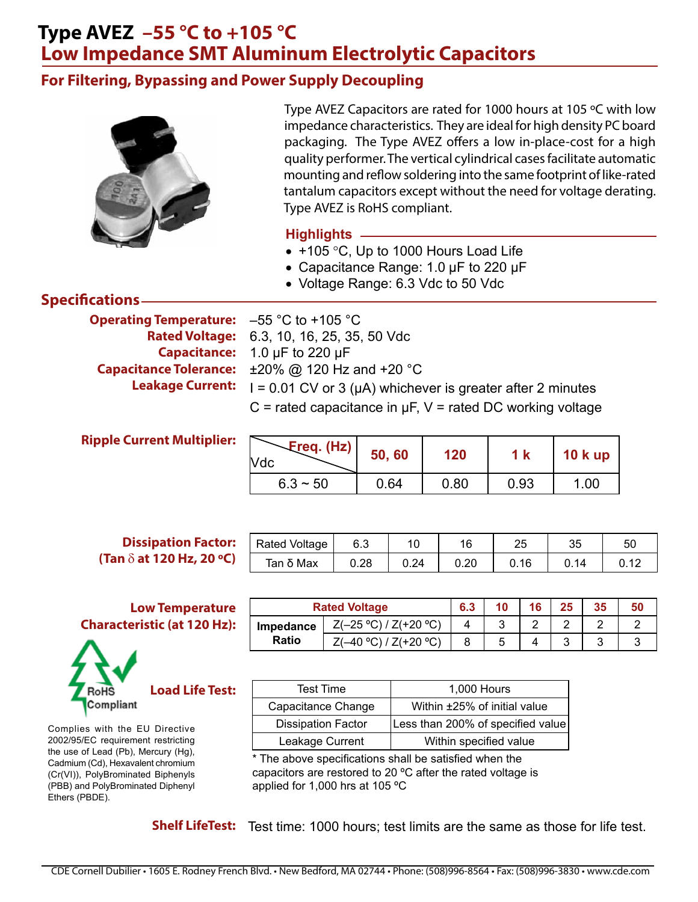## **Type AVEZ –55 °C to +105 °C Low Impedance SMT Aluminum Electrolytic Capacitors**

### **For Filtering, Bypassing and Power Supply Decoupling**



Type AVEZ Capacitors are rated for 1000 hours at 105 ºC with low impedance characteristics. They are ideal for high density PC board packaging. The Type AVEZ offers a low in-place-cost for a high quality performer. The vertical cylindrical cases facilitate automatic mounting and reflow soldering into the same footprint of like-rated tantalum capacitors except without the need for voltage derating. Type AVEZ is RoHS compliant.

#### **Highlights**

- +105 °C, Up to 1000 Hours Load Life
- Capacitance Range: 1.0 µF to 220 µF
- Voltage Range: 6.3 Vdc to 50 Vdc

#### **Specifications**

**Operating Temperature: Capacitance Tolerance: Leakage Current:**

 $-55$  °C to  $+105$  °C 6.3, 10, 16, 25, 35, 50 Vdc **Rated Voltage:** Capacitance: 1.0 µF to 220 µF ±20% @ 120 Hz and +20 °C  $I = 0.01$  CV or 3 ( $\mu$ A) whichever is greater after 2 minutes  $C$  = rated capacitance in  $\mu$ F, V = rated DC working voltage

| Freq. (Hz)<br>Vdc | 50,60 | 120  |      | <b>10 k up</b> |
|-------------------|-------|------|------|----------------|
| $6.3 \sim 50$     | 0.64  | 0.80 | 0.93 | 1.00           |

#### **Dissipation Factor: (Tan** d **at 120 Hz, 20 ºC)**

#### **Low Temperature Characteristic (at 120 Hz):**



Complies with the EU Directive 2002/95/EC requirement restricting the use of Lead (Pb), Mercury (Hg), Cadmium (Cd), Hexavalent chromium (Cr(VI)), PolyBrominated Biphenyls (PBB) and PolyBrominated Diphenyl Ethers (PBDE).

| <b>Rated Voltage</b> | 6.3  |      | 16   | 25  | 35 | 50 |
|----------------------|------|------|------|-----|----|----|
| Tan δ Max            | 0.28 | 0.24 | 0.20 | .16 | 14 |    |
|                      |      |      |      |     |    |    |

|                  | <b>Rated Voltage</b>     | 6.3 | 10 | 16 | 25 | 35 | 50 |
|------------------|--------------------------|-----|----|----|----|----|----|
| <b>Impedance</b> | $Z(-25 °C) / Z(+20 °C)$  |     | ີ  | -  |    |    |    |
| <b>Ratio</b>     | Z(+20 °C)<br>$-40$ °C) / |     | J  |    |    |    |    |

| <b>Test Time</b>          | 1,000 Hours                       |
|---------------------------|-----------------------------------|
| Capacitance Change        | Within ±25% of initial value      |
| <b>Dissipation Factor</b> | Less than 200% of specified value |
| Leakage Current           | Within specified value            |

\* The above specifications shall be satisfied when the capacitors are restored to 20 ºC after the rated voltage is applied for 1,000 hrs at 105 ºC

Shelf LifeTest: Test time: 1000 hours; test limits are the same as those for life test.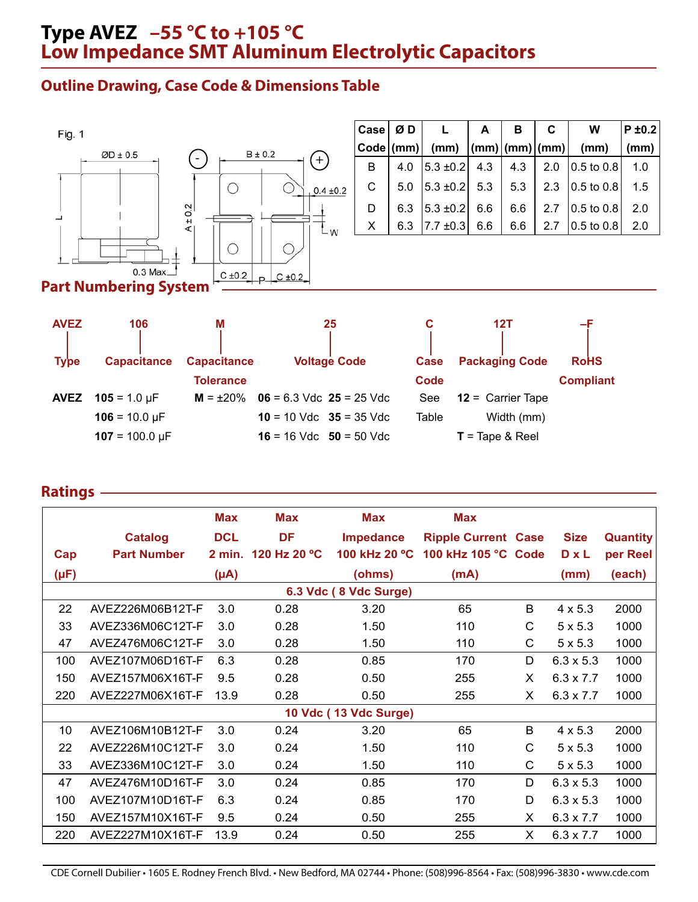## **Type AVEZ –55 °C to +105 °C Low Impedance SMT Aluminum Electrolytic Capacitors**

### **Outline Drawing, Case Code & Dimensions Table**



| Case   Ø D |     |                                 | A | в          | C   | W                                     | $P \pm 0.2$ |
|------------|-----|---------------------------------|---|------------|-----|---------------------------------------|-------------|
|            |     | Code (mm)  (mm)  (mm) (mm) (mm) |   |            |     | (mm)                                  | (mm)        |
| B          | 4.0 | $ 5.3 \pm 0.2 $ 4.3             |   | $4.3 \mid$ |     | 2.0 $\vert 0.5 \text{ to } 0.8 \vert$ | 1.0         |
| C.         | 5.0 | $ 5.3 \pm 0.2 $ 5.3 $ 5.3 $     |   |            |     | 2.3 $ 0.5 \text{ to } 0.8 $           | 1.5         |
| D          | 6.3 | $ 5.3 \pm 0.2 $ 6.6             |   | 6.6        |     | 2.7 $ 0.5 \text{ to } 0.8 $           | 2.0         |
| X          | 6.3 | $ 7.7 \pm 0.3 $ 6.6             |   | 6.6        | 2.7 | $ 0.5 \text{ to } 0.8 $               | 2.0         |

#### **Part Numbering System**

| <b>AVEZ</b> | 106                   | м                  | 25                           | С           | 12T                               |                  |
|-------------|-----------------------|--------------------|------------------------------|-------------|-----------------------------------|------------------|
| <b>Type</b> | <b>Capacitance</b>    | <b>Capacitance</b> | <b>Voltage Code</b>          | <b>Case</b> | <b>Packaging Code</b>             | <b>RoHS</b>      |
|             |                       | <b>Tolerance</b>   |                              | Code        |                                   | <b>Compliant</b> |
| <b>AVEZ</b> | $105 = 1.0 \,\mu F$   | $M = \pm 20\%$     | $06 = 6.3$ Vdc $25 = 25$ Vdc | See         | $12 =$ Carrier Tape               |                  |
|             | $106 = 10.0 \,\mu F$  |                    | $10 = 10$ Vdc $35 = 35$ Vdc  | Table       | Width (mm)                        |                  |
|             | $107 = 100.0 \,\mu F$ |                    | $16 = 16$ Vdc $50 = 50$ Vdc  |             | $T = \text{Tape } 8 \text{ Reel}$ |                  |

#### **Ratings**

|      |                    | <b>Max</b> | <b>Max</b>          | Max                   | <b>Max</b>                 |    |                  |                 |
|------|--------------------|------------|---------------------|-----------------------|----------------------------|----|------------------|-----------------|
|      | <b>Catalog</b>     | <b>DCL</b> | <b>DF</b>           | <b>Impedance</b>      | <b>Ripple Current Case</b> |    | <b>Size</b>      | <b>Quantity</b> |
| Cap  | <b>Part Number</b> |            | 2 min. 120 Hz 20 °C | 100 kHz 20 °C         | 100 kHz 105 °C Code        |    | $D \times L$     | per Reel        |
| (µF) |                    | $(\mu A)$  |                     | (ohms)                | (mA)                       |    | (mm)             | (each)          |
|      |                    |            |                     | 6.3 Vdc (8 Vdc Surge) |                            |    |                  |                 |
| 22   | AVEZ226M06B12T-F   | 3.0        | 0.28                | 3.20                  | 65                         | B  | $4 \times 5.3$   | 2000            |
| 33   | AVEZ336M06C12T-F   | 3.0        | 0.28                | 1.50                  | 110                        | C  | $5 \times 5.3$   | 1000            |
| 47   | AVEZ476M06C12T-F   | 3.0        | 0.28                | 1.50                  | 110                        | С  | $5 \times 5.3$   | 1000            |
| 100  | AVEZ107M06D16T-F   | 6.3        | 0.28                | 0.85                  | 170                        | D  | $6.3 \times 5.3$ | 1000            |
| 150  | AVEZ157M06X16T-F   | 9.5        | 0.28                | 0.50                  | 255                        | X  | $6.3 \times 7.7$ | 1000            |
| 220  | AVEZ227M06X16T-F   | 13.9       | 0.28                | 0.50                  | 255                        | X  | $6.3 \times 7.7$ | 1000            |
|      |                    |            |                     | 10 Vdc (13 Vdc Surge) |                            |    |                  |                 |
| 10   | AVEZ106M10B12T-F   | 3.0        | 0.24                | 3.20                  | 65                         | B  | $4 \times 5.3$   | 2000            |
| 22   | AVEZ226M10C12T-F   | 3.0        | 0.24                | 1.50                  | 110                        | C  | $5 \times 5.3$   | 1000            |
| 33   | AVEZ336M10C12T-F   | 3.0        | 0.24                | 1.50                  | 110                        | C  | $5 \times 5.3$   | 1000            |
| 47   | AVEZ476M10D16T-F   | 3.0        | 0.24                | 0.85                  | 170                        | D  | $6.3 \times 5.3$ | 1000            |
| 100  | AVEZ107M10D16T-F   | 6.3        | 0.24                | 0.85                  | 170                        | D  | $6.3 \times 5.3$ | 1000            |
| 150  | AVEZ157M10X16T-F   | 9.5        | 0.24                | 0.50                  | 255                        | X  | $6.3 \times 7.7$ | 1000            |
| 220  | AVEZ227M10X16T-F   | 13.9       | 0.24                | 0.50                  | 255                        | X. | $6.3 \times 7.7$ | 1000            |

CDE Cornell Dubilier • 1605 E. Rodney French Blvd. • New Bedford, MA 02744 • Phone: (508)996-8564 • Fax: (508)996-3830 • www.cde.com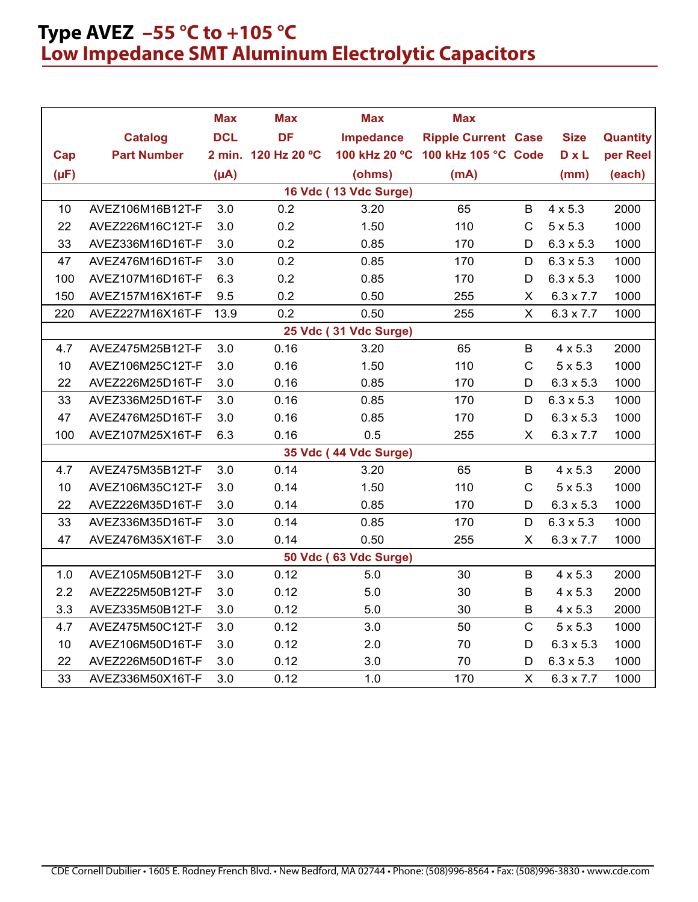# **Type AVEZ –55 °C to +105 °C Low Impedance SMT Aluminum Electrolytic Capacitors**

|           |                    | <b>Max</b> | <b>Max</b>          | <b>Max</b>            | <b>Max</b>                        |                           |                  |                 |
|-----------|--------------------|------------|---------------------|-----------------------|-----------------------------------|---------------------------|------------------|-----------------|
|           | <b>Catalog</b>     | <b>DCL</b> | <b>DF</b>           | <b>Impedance</b>      | <b>Ripple Current Case</b>        |                           | <b>Size</b>      | <b>Quantity</b> |
| Cap       | <b>Part Number</b> |            | 2 min. 120 Hz 20 °C |                       | 100 kHz 20 °C 100 kHz 105 °C Code |                           | <b>DxL</b>       | per Reel        |
| $(\mu F)$ |                    | $(\mu A)$  |                     | (ohms)                | (mA)                              |                           | (mm)             | (each)          |
|           |                    |            |                     | 16 Vdc (13 Vdc Surge) |                                   |                           |                  |                 |
| 10        | AVEZ106M16B12T-F   | 3.0        | 0.2                 | 3.20                  | 65                                | B                         | $4 \times 5.3$   | 2000            |
| 22        | AVEZ226M16C12T-F   | 3.0        | 0.2                 | 1.50                  | 110                               | $\mathsf{C}$              | $5 \times 5.3$   | 1000            |
| 33        | AVEZ336M16D16T-F   | 3.0        | 0.2                 | 0.85                  | 170                               | D                         | $6.3 \times 5.3$ | 1000            |
| 47        | AVEZ476M16D16T-F   | 3.0        | 0.2                 | 0.85                  | 170                               | D                         | $6.3 \times 5.3$ | 1000            |
| 100       | AVEZ107M16D16T-F   | 6.3        | 0.2                 | 0.85                  | 170                               | D                         | $6.3 \times 5.3$ | 1000            |
| 150       | AVEZ157M16X16T-F   | 9.5        | 0.2                 | 0.50                  | 255                               | X                         | $6.3 \times 7.7$ | 1000            |
| 220       | AVEZ227M16X16T-F   | 13.9       | 0.2                 | 0.50                  | 255                               | X                         | $6.3 \times 7.7$ | 1000            |
|           |                    |            |                     | 25 Vdc (31 Vdc Surge) |                                   |                           |                  |                 |
| 4.7       | AVEZ475M25B12T-F   | 3.0        | 0.16                | 3.20                  | 65                                | B                         | $4 \times 5.3$   | 2000            |
| 10        | AVEZ106M25C12T-F   | 3.0        | 0.16                | 1.50                  | 110                               | $\mathsf C$               | $5 \times 5.3$   | 1000            |
| 22        | AVEZ226M25D16T-F   | 3.0        | 0.16                | 0.85                  | 170                               | D                         | $6.3 \times 5.3$ | 1000            |
| 33        | AVEZ336M25D16T-F   | 3.0        | 0.16                | 0.85                  | 170                               | D                         | $6.3 \times 5.3$ | 1000            |
| 47        | AVEZ476M25D16T-F   | 3.0        | 0.16                | 0.85                  | 170                               | D                         | $6.3 \times 5.3$ | 1000            |
| 100       | AVEZ107M25X16T-F   | 6.3        | 0.16                | 0.5                   | 255                               | X.                        | $6.3 \times 7.7$ | 1000            |
|           |                    |            |                     | 35 Vdc (44 Vdc Surge) |                                   |                           |                  |                 |
| 4.7       | AVEZ475M35B12T-F   | 3.0        | 0.14                | 3.20                  | 65                                | B                         | $4 \times 5.3$   | 2000            |
| 10        | AVEZ106M35C12T-F   | 3.0        | 0.14                | 1.50                  | 110                               | $\mathsf C$               | $5 \times 5.3$   | 1000            |
| 22        | AVEZ226M35D16T-F   | 3.0        | 0.14                | 0.85                  | 170                               | D                         | $6.3 \times 5.3$ | 1000            |
| 33        | AVEZ336M35D16T-F   | 3.0        | 0.14                | 0.85                  | 170                               | D                         | $6.3 \times 5.3$ | 1000            |
| 47        | AVEZ476M35X16T-F   | 3.0        | 0.14                | 0.50                  | 255                               | X                         | $6.3 \times 7.7$ | 1000            |
|           |                    |            |                     | 50 Vdc (63 Vdc Surge) |                                   |                           |                  |                 |
| 1.0       | AVEZ105M50B12T-F   | 3.0        | 0.12                | 5.0                   | 30                                | B                         | $4 \times 5.3$   | 2000            |
| 2.2       | AVEZ225M50B12T-F   | 3.0        | 0.12                | 5.0                   | 30                                | B                         | $4 \times 5.3$   | 2000            |
| 3.3       | AVEZ335M50B12T-F   | 3.0        | 0.12                | 5.0                   | 30                                | B                         | $4 \times 5.3$   | 2000            |
| 4.7       | AVEZ475M50C12T-F   | 3.0        | 0.12                | 3.0                   | 50                                | $\mathsf{C}$              | $5 \times 5.3$   | 1000            |
| 10        | AVEZ106M50D16T-F   | 3.0        | 0.12                | 2.0                   | 70                                | D                         | $6.3 \times 5.3$ | 1000            |
| 22        | AVEZ226M50D16T-F   | 3.0        | 0.12                | 3.0                   | 70                                | D                         | $6.3 \times 5.3$ | 1000            |
| 33        | AVEZ336M50X16T-F   | 3.0        | 0.12                | 1.0                   | 170                               | $\boldsymbol{\mathsf{X}}$ | $6.3 \times 7.7$ | 1000            |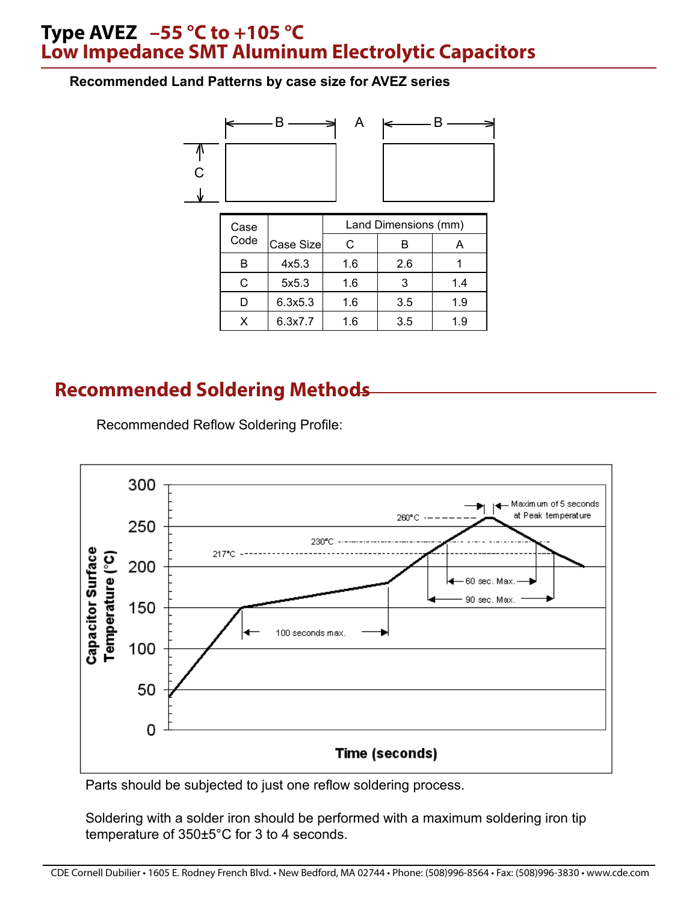### **Type AVEZ –55 °C to +105 °C Low Impedance SMT Aluminum Electrolytic Capacitors**

#### **Recommended Land Patterns by case size for AVEZ series**



| Case |           | Land Dimensions (mm) |     |     |  |  |  |
|------|-----------|----------------------|-----|-----|--|--|--|
| Code | Case Size | C                    |     |     |  |  |  |
|      | 4x5.3     | 1.6                  | 2.6 |     |  |  |  |
|      | 5x5.3     | 1.6                  |     | 1.4 |  |  |  |
|      | 6.3x5.3   | 1.6                  | 3.5 | 1.9 |  |  |  |
|      | 6.3x7.7   | 1.6                  | 3.5 | 1.9 |  |  |  |

# **Recommended Soldering Methods**



Recommended Reflow Soldering Profile:

Parts should be subjected to just one reflow soldering process.

Soldering with a solder iron should be performed with a maximum soldering iron tip temperature of 350±5°C for 3 to 4 seconds.